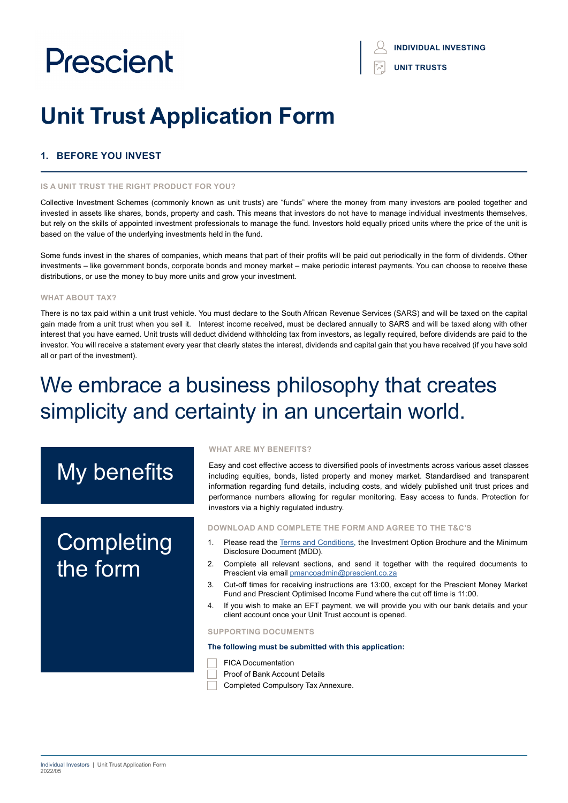## **INDIVIDUAL INVESTING UNIT TRUSTS**

# **Unit Trust Application Form**

### **1. BEFORE YOU INVEST**

#### **IS A UNIT TRUST THE RIGHT PRODUCT FOR YOU?**

Collective Investment Schemes (commonly known as unit trusts) are "funds" where the money from many investors are pooled together and invested in assets like shares, bonds, property and cash. This means that investors do not have to manage individual investments themselves, but rely on the skills of appointed investment professionals to manage the fund. Investors hold equally priced units where the price of the unit is based on the value of the underlying investments held in the fund.

Some funds invest in the shares of companies, which means that part of their profits will be paid out periodically in the form of dividends. Other investments – like government bonds, corporate bonds and money market – make periodic interest payments. You can choose to receive these distributions, or use the money to buy more units and grow your investment.

#### **WHAT ABOUT TAX?**

There is no tax paid within a unit trust vehicle. You must declare to the South African Revenue Services (SARS) and will be taxed on the capital gain made from a unit trust when you sell it. Interest income received, must be declared annually to SARS and will be taxed along with other interest that you have earned. Unit trusts will deduct dividend withholding tax from investors, as legally required, before dividends are paid to the investor. You will receive a statement every year that clearly states the interest, dividends and capital gain that you have received (if you have sold all or part of the investment).

## We embrace a business philosophy that creates simplicity and certainty in an uncertain world.

# My benefits

# **Completing** the form

#### **WHAT ARE MY BENEFITS?**

Easy and cost effective access to diversified pools of investments across various asset classes including equities, bonds, listed property and money market. Standardised and transparent information regarding fund details, including costs, and widely published unit trust prices and performance numbers allowing for regular monitoring. Easy access to funds. Protection for investors via a highly regulated industry.

#### **DOWNLOAD AND COMPLETE THE FORM AND AGREE TO THE T&C'S**

- 1. Please read the [Terms and Conditions,](https://www.prescient.co.za/media/nryjvycp/2021-terms-conditions.pdf) the Investment Option Brochure and the Minimum Disclosure Document (MDD).
- 2. Complete all relevant sections, and send it together with the required documents to Prescient via email [pmancoadmin@prescient.co.za](mailto:pmancoadmin%40prescient.co.za?subject=Prescient%20-%20Individual%20Investor%20Application%20Form)
- 3. Cut-off times for receiving instructions are 13:00, except for the Prescient Money Market Fund and Prescient Optimised Income Fund where the cut off time is 11:00.
- 4. If you wish to make an EFT payment, we will provide you with our bank details and your client account once your Unit Trust account is opened.

#### **SUPPORTING DOCUMENTS**

#### **The following must be submitted with this application:**

- FICA Documentation
- Proof of Bank Account Details
- Completed Compulsory Tax Annexure.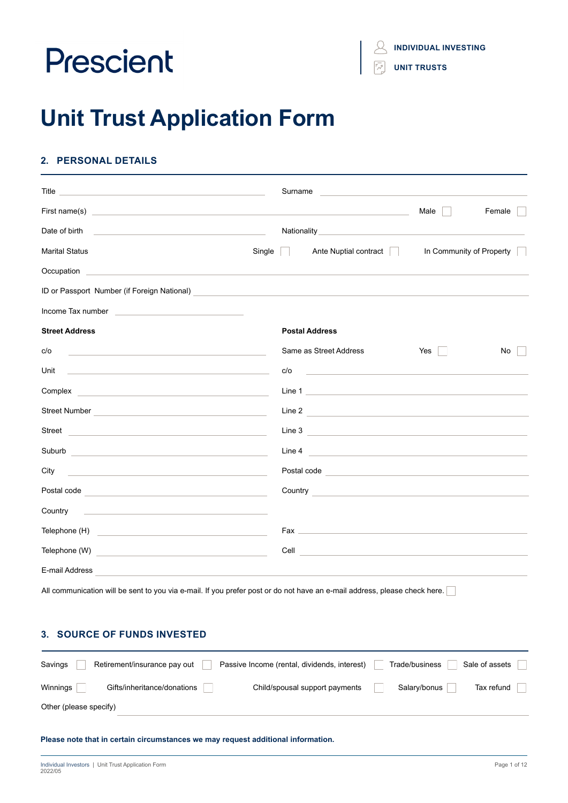**INDIVIDUAL INVESTING**

**UNIT TRUSTS**

# **Unit Trust Application Form**

## **2. PERSONAL DETAILS**

|                                                                                                                                                                                                                                                       | Surname<br><u> 1980 - Johann Barbara, martxa alemaniar a</u>                                                                                                                                                                         |                          |
|-------------------------------------------------------------------------------------------------------------------------------------------------------------------------------------------------------------------------------------------------------|--------------------------------------------------------------------------------------------------------------------------------------------------------------------------------------------------------------------------------------|--------------------------|
|                                                                                                                                                                                                                                                       |                                                                                                                                                                                                                                      | Female<br>Male           |
| Date of birth<br><u> 1999 - John Harry Harry Harry Harry Harry Harry Harry Harry Harry Harry Harry Harry Harry Harry Harry Harry Harry Harry Harry Harry Harry Harry Harry Harry Harry Harry Harry Harry Harry Harry Harry Harry Harry Harry Harr</u> |                                                                                                                                                                                                                                      |                          |
| Single<br><b>Marital Status</b>                                                                                                                                                                                                                       | Ante Nuptial contract<br>$\mathbb{R}^n$                                                                                                                                                                                              | In Community of Property |
|                                                                                                                                                                                                                                                       |                                                                                                                                                                                                                                      |                          |
|                                                                                                                                                                                                                                                       |                                                                                                                                                                                                                                      |                          |
| Income Tax number <b>Access 2018</b> The Manual Access 2019 The Manual Access 2019 The Manual Access 2019                                                                                                                                             |                                                                                                                                                                                                                                      |                          |
| <b>Street Address</b>                                                                                                                                                                                                                                 | <b>Postal Address</b>                                                                                                                                                                                                                |                          |
| c/o<br><u> 1989 - Andrea Stadt Britain, amerikansk politiker (d. 1989)</u>                                                                                                                                                                            | Same as Street Address                                                                                                                                                                                                               | Yes<br>No.               |
| Unit<br><u> 1989 - Andrea Stadt Britain, amerikansk politiker (d. 1989)</u>                                                                                                                                                                           | c/o<br><u> 1980 - Andrea Stadt, fransk politiker (d. 1980)</u>                                                                                                                                                                       |                          |
| Complex <b>complex complex complex complex complex complex complex complex complex complex complex complex complex complex complex complex complex complex complex complex complex com</b>                                                            |                                                                                                                                                                                                                                      |                          |
| Street Number <b>Constantine Construction Constantine Constantine Constantine Constantine Constantine Constantine Constantine Constantine Constantine Constantine Constantine Constantine Constantine Constantine Constantine Co</b>                  |                                                                                                                                                                                                                                      |                          |
| Street <b>Example 2018</b> Street <b>Example 2018</b> Street <b>Example 2018</b>                                                                                                                                                                      |                                                                                                                                                                                                                                      |                          |
| Suburb<br><u> 1989 - Johann Barbara, martin amerikan basal dan berasal dan berasal dalam basal dalam basal dalam basal dala</u>                                                                                                                       | Line 4                                                                                                                                                                                                                               |                          |
| City                                                                                                                                                                                                                                                  | Postal code <b>contract and contract of the contract of the contract of the contract of the contract of the contract of the contract of the contract of the contract of the contract of the contract of the contract of the cont</b> |                          |
|                                                                                                                                                                                                                                                       | Country <b>Countries and Countries and Countries and Countries and Countries and Countries and Countries and Countries and Countries and Countries and Countries and Countries and Countries and Countries and Countries and Cou</b> |                          |
| Country<br><u> 1989 - Andrea Barbara, amerikan personal dan personal dan personal dan personal dan personal dan personal dan</u>                                                                                                                      |                                                                                                                                                                                                                                      |                          |
|                                                                                                                                                                                                                                                       | Fax and the state of the state of the state of the state of the state of the state of the state of the state of the state of the state of the state of the state of the state of the state of the state of the state of the st       |                          |
|                                                                                                                                                                                                                                                       | Cell<br><u> 1980 - Jan Stern Stern Stern Stern Stern Stern Stern Stern Stern Stern Stern Stern Stern Stern Stern Stern St</u>                                                                                                        |                          |
| E-mail Address                                                                                                                                                                                                                                        |                                                                                                                                                                                                                                      |                          |

All communication will be sent to you via e-mail. If you prefer post or do not have an e-mail address, please check here.

### **3. SOURCE OF FUNDS INVESTED**

| Savings                | Retirement/insurance pay out | Passive Income (rental, dividends, interest) | Trade/business | Sale of assets |
|------------------------|------------------------------|----------------------------------------------|----------------|----------------|
| Winnings               | Gifts/inheritance/donations  | Child/spousal support payments               | Salary/bonus   | Tax refund     |
| Other (please specify) |                              |                                              |                |                |

**Please note that in certain circumstances we may request additional information.**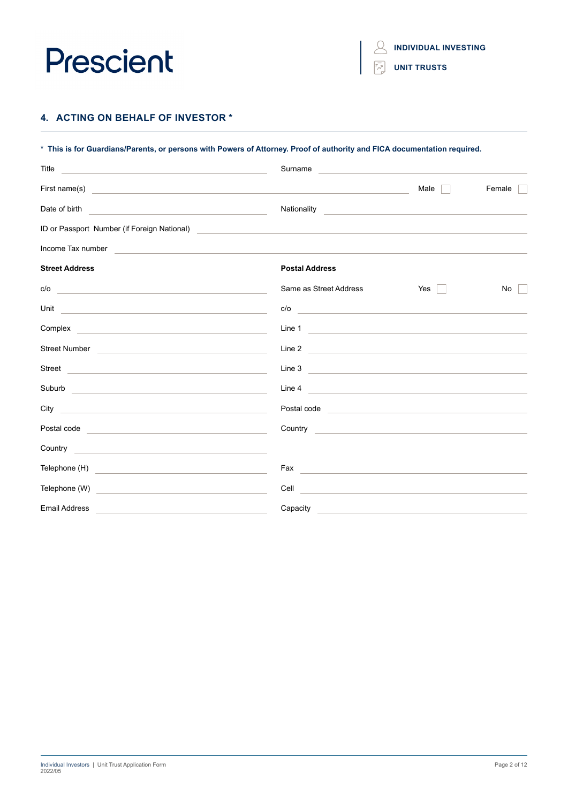

**INDIVIDUAL INVESTING**

**UNIT TRUSTS**

 $\mathcal{Q}$ 

### **4. ACTING ON BEHALF OF INVESTOR \***

| * This is for Guardians/Parents, or persons with Powers of Attorney. Proof of authority and FICA documentation required.                                                                                                             |                                                                                                                                                                                                                                      |                                                           |        |  |  |  |  |
|--------------------------------------------------------------------------------------------------------------------------------------------------------------------------------------------------------------------------------------|--------------------------------------------------------------------------------------------------------------------------------------------------------------------------------------------------------------------------------------|-----------------------------------------------------------|--------|--|--|--|--|
| Title<br><u> 1989 - Johann John Stein, markin fan it ferstjer fan de ferstjer fan it ferstjer fan de ferstjer fan it fers</u>                                                                                                        | Surname                                                                                                                                                                                                                              | <u> 1980 - Jan Sterlinger, fransk politiker (d. 1980)</u> |        |  |  |  |  |
|                                                                                                                                                                                                                                      |                                                                                                                                                                                                                                      | Male                                                      | Female |  |  |  |  |
| Date of birth<br>the control of the control of the control of the control of the control of the control of                                                                                                                           | Nationality                                                                                                                                                                                                                          |                                                           |        |  |  |  |  |
| ID or Passport Number (if Foreign National)                                                                                                                                                                                          | <u> 1980 - John Stein, mars and de Britain and de Britain and de Britain and de Britain and de Britain and de Br</u>                                                                                                                 |                                                           |        |  |  |  |  |
| Income Tax number                                                                                                                                                                                                                    |                                                                                                                                                                                                                                      |                                                           |        |  |  |  |  |
| <b>Street Address</b>                                                                                                                                                                                                                | <b>Postal Address</b>                                                                                                                                                                                                                |                                                           |        |  |  |  |  |
| c/o<br><u> 1989 - Johann Stoff, deutscher Stoff, der Stoff, der Stoff, der Stoff, der Stoff, der Stoff, der Stoff, der S</u>                                                                                                         | Same as Street Address                                                                                                                                                                                                               | Yes<br>$\mathbb{R}^n$                                     | No     |  |  |  |  |
| Unit<br><u> 1989 - Andrea State Barbara, amerikan personal di sebagai personal di sebagai personal di sebagai personal di</u>                                                                                                        | c/o                                                                                                                                                                                                                                  |                                                           |        |  |  |  |  |
|                                                                                                                                                                                                                                      | Line 1                                                                                                                                                                                                                               |                                                           |        |  |  |  |  |
| Street Number Number Number Street Number Number Street Number Number Street Number 1989                                                                                                                                             | Line 2                                                                                                                                                                                                                               |                                                           |        |  |  |  |  |
| Street <b>Street Street Street Street Street Street Street Street Street</b>                                                                                                                                                         | Line 3                                                                                                                                                                                                                               |                                                           |        |  |  |  |  |
| Suburb and the state of the state of the state of the state of the state of the state of the state of the state of the state of the state of the state of the state of the state of the state of the state of the state of the       | Line 4                                                                                                                                                                                                                               |                                                           |        |  |  |  |  |
| City and the contract of the contract of the contract of the contract of the contract of the contract of the contract of the contract of the contract of the contract of the contract of the contract of the contract of the c       | Postal code <u>expression and the set of the set of the set of the set of the set of the set of the set of the set of the set of the set of the set of the set of the set of the set of the set of the set of the set of the set</u> |                                                           |        |  |  |  |  |
| Postal code and a series of the series of the series of the series of the series of the series of the series of the series of the series of the series of the series of the series of the series of the series of the series o       | Country <b>Countries and Countries and Countries and Countries and Countries and Countries and Countries and Countries</b>                                                                                                           |                                                           |        |  |  |  |  |
|                                                                                                                                                                                                                                      |                                                                                                                                                                                                                                      |                                                           |        |  |  |  |  |
| Telephone (H) <u>contract and the set of the set of the set of the set of the set of the set of the set of the set of the set of the set of the set of the set of the set of the set of the set of the set of the set of the set</u> |                                                                                                                                                                                                                                      |                                                           |        |  |  |  |  |
| Telephone (W)<br><u> 1989 - Johann Harry Harry Harry Harry Harry Harry Harry Harry Harry Harry Harry Harry Harry Harry Harry Harry</u>                                                                                               | <b>Cell Cell Cell Cell Cell Cell Cell Cell Cell Cell Cell Cell Cell Cell Cell Cell Cell Cell Cell Cell Cell Cell Cell Cell Cell Cell Cell Cell Cell Cell Cell Cell</b>                                                               |                                                           |        |  |  |  |  |
| <b>Email Address</b>                                                                                                                                                                                                                 | Capacity                                                                                                                                                                                                                             |                                                           |        |  |  |  |  |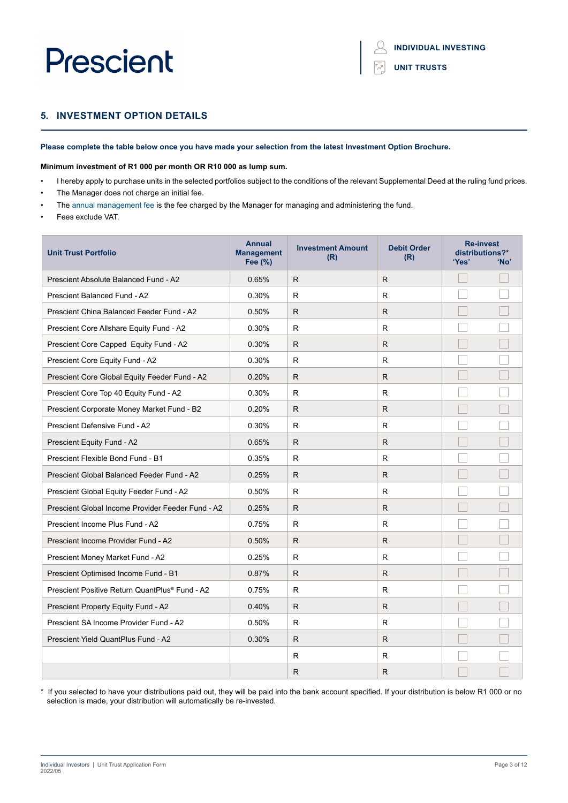```
UNIT TRUSTS
```
## **5. INVESTMENT OPTION DETAILS**

#### **Please complete the table below once you have made your selection from the latest Investment Option Brochure.**

#### **Minimum investment of R1 000 per month OR R10 000 as lump sum.**

- I hereby apply to purchase units in the selected portfolios subject to the conditions of the relevant Supplemental Deed at the ruling fund prices.
- The Manager does not charge an initial fee.
- The annual management fee is the fee charged by the Manager for managing and administering the fund.
- Fees exclude VAT.

| <b>Unit Trust Portfolio</b>                                | <b>Annual</b><br><b>Management</b><br>Fee (%) | <b>Investment Amount</b><br>(R) | <b>Debit Order</b><br>(R) | <b>Re-invest</b><br>distributions?*<br>'Yes' | 'No' |
|------------------------------------------------------------|-----------------------------------------------|---------------------------------|---------------------------|----------------------------------------------|------|
| <b>Prescient Absolute Balanced Fund - A2</b>               | 0.65%                                         | R.                              | R.                        |                                              |      |
| <b>Prescient Balanced Fund - A2</b>                        | 0.30%                                         | R.                              | R                         |                                              |      |
| Prescient China Balanced Feeder Fund - A2                  | 0.50%                                         | R                               | R.                        |                                              |      |
| Prescient Core Allshare Equity Fund - A2                   | 0.30%                                         | R.                              | R                         |                                              |      |
| Prescient Core Capped Equity Fund - A2                     | 0.30%                                         | R                               | R                         |                                              |      |
| Prescient Core Equity Fund - A2                            | 0.30%                                         | R.                              | R                         |                                              |      |
| Prescient Core Global Equity Feeder Fund - A2              | 0.20%                                         | R                               | R.                        |                                              |      |
| Prescient Core Top 40 Equity Fund - A2                     | 0.30%                                         | R.                              | R                         |                                              |      |
| Prescient Corporate Money Market Fund - B2                 | 0.20%                                         | R                               | R                         |                                              |      |
| Prescient Defensive Fund - A2                              | 0.30%                                         | R.                              | R                         |                                              |      |
| Prescient Equity Fund - A2                                 | 0.65%                                         | R.                              | R.                        |                                              |      |
| Prescient Flexible Bond Fund - B1                          | 0.35%                                         | R                               | R                         |                                              |      |
| Prescient Global Balanced Feeder Fund - A2                 | 0.25%                                         | R.                              | R.                        |                                              |      |
| Prescient Global Equity Feeder Fund - A2                   | 0.50%                                         | R.                              | R                         |                                              |      |
| Prescient Global Income Provider Feeder Fund - A2          | 0.25%                                         | R.                              | R.                        |                                              |      |
| Prescient Income Plus Fund - A2                            | 0.75%                                         | R                               | R                         |                                              |      |
| Prescient Income Provider Fund - A2                        | 0.50%                                         | R.                              | R.                        |                                              |      |
| Prescient Money Market Fund - A2                           | 0.25%                                         | R                               | R                         |                                              |      |
| Prescient Optimised Income Fund - B1                       | 0.87%                                         | R                               | R                         |                                              |      |
| Prescient Positive Return QuantPlus <sup>®</sup> Fund - A2 | 0.75%                                         | R                               | R                         |                                              |      |
| Prescient Property Equity Fund - A2                        | 0.40%                                         | R.                              | R                         |                                              |      |
| Prescient SA Income Provider Fund - A2                     | 0.50%                                         | R.                              | R                         |                                              |      |
| Prescient Yield QuantPlus Fund - A2                        | 0.30%                                         | R.                              | R.                        |                                              |      |
|                                                            |                                               | R                               | R                         |                                              |      |
|                                                            |                                               | $\mathsf{R}$                    | $\mathsf{R}$              |                                              |      |

\* If you selected to have your distributions paid out, they will be paid into the bank account specified. If your distribution is below R1 000 or no selection is made, your distribution will automatically be re-invested.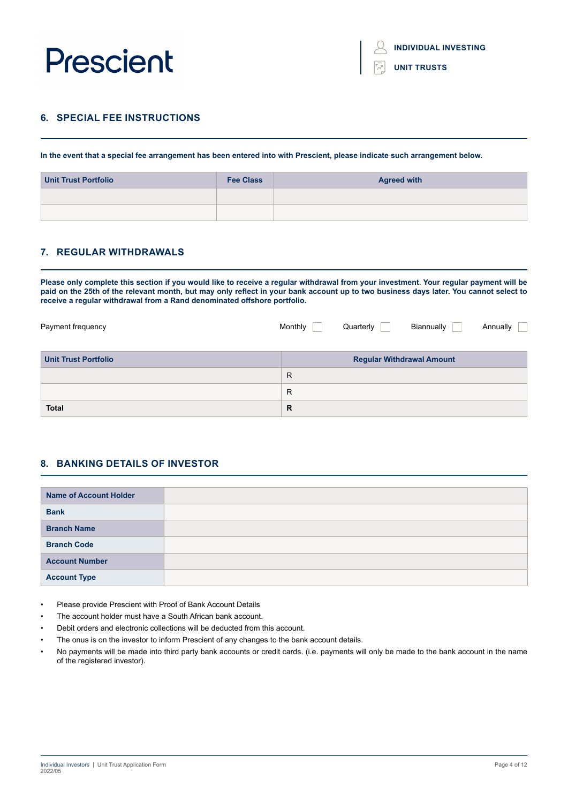

**UNIT TRUSTS**

### **6. SPECIAL FEE INSTRUCTIONS**

**In the event that a special fee arrangement has been entered into with Prescient, please indicate such arrangement below.**

| <b>Unit Trust Portfolio</b> | <b>Fee Class</b> | <b>Agreed with</b> |
|-----------------------------|------------------|--------------------|
|                             |                  |                    |
|                             |                  |                    |

### **7. REGULAR WITHDRAWALS**

**Please only complete this section if you would like to receive a regular withdrawal from your investment. Your regular payment will be paid on the 25th of the relevant month, but may only reflect in your bank account up to two business days later. You cannot select to receive a regular withdrawal from a Rand denominated offshore portfolio.**

| Payment frequency           | Monthly      | Quarterly | Biannually                       | Annually |
|-----------------------------|--------------|-----------|----------------------------------|----------|
| <b>Unit Trust Portfolio</b> |              |           | <b>Regular Withdrawal Amount</b> |          |
|                             | R            |           |                                  |          |
|                             | $\mathsf{R}$ |           |                                  |          |
| <b>Total</b>                | R            |           |                                  |          |

#### **8. BANKING DETAILS OF INVESTOR**

| <b>Name of Account Holder</b> |  |
|-------------------------------|--|
| <b>Bank</b>                   |  |
| <b>Branch Name</b>            |  |
| <b>Branch Code</b>            |  |
| <b>Account Number</b>         |  |
| <b>Account Type</b>           |  |

- Please provide Prescient with Proof of Bank Account Details
- The account holder must have a South African bank account.
- Debit orders and electronic collections will be deducted from this account.
- The onus is on the investor to inform Prescient of any changes to the bank account details.
- No payments will be made into third party bank accounts or credit cards. (i.e. payments will only be made to the bank account in the name of the registered investor).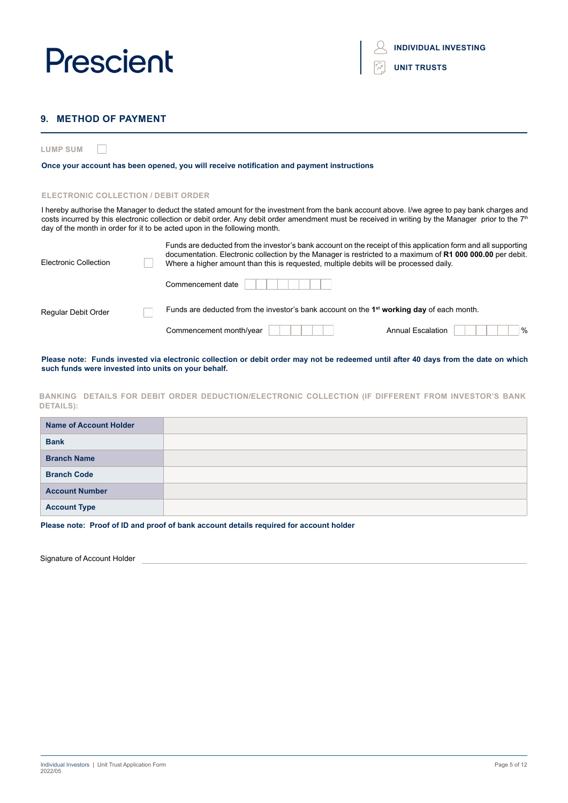

| <b>INDIVIDUAL INVESTING</b> |  |
|-----------------------------|--|
|                             |  |

|  |  | <b>UNIT TRUSTS</b> |  |  |
|--|--|--------------------|--|--|
|  |  |                    |  |  |

### **9. METHOD OF PAYMENT**

**LUMP SUM**  $\Box$ 

#### **Once your account has been opened, you will receive notification and payment instructions**

#### **ELECTRONIC COLLECTION / DEBIT ORDER**

I hereby authorise the Manager to deduct the stated amount for the investment from the bank account above. I/we agree to pay bank charges and costs incurred by this electronic collection or debit order. Any debit order amendment must be received in writing by the Manager prior to the 7<sup>th</sup> day of the month in order for it to be acted upon in the following month.

| Electronic Collection | Funds are deducted from the investor's bank account on the receipt of this application form and all supporting<br>documentation. Electronic collection by the Manager is restricted to a maximum of R1 000 000.00 per debit.<br>Where a higher amount than this is requested, multiple debits will be processed daily. |                                                                                             |                                  |  |  |
|-----------------------|------------------------------------------------------------------------------------------------------------------------------------------------------------------------------------------------------------------------------------------------------------------------------------------------------------------------|---------------------------------------------------------------------------------------------|----------------------------------|--|--|
|                       |                                                                                                                                                                                                                                                                                                                        | Commencement date                                                                           |                                  |  |  |
| Regular Debit Order   |                                                                                                                                                                                                                                                                                                                        | Funds are deducted from the investor's bank account on the $1st$ working day of each month. |                                  |  |  |
|                       |                                                                                                                                                                                                                                                                                                                        | Commencement month/year                                                                     | $\%$<br><b>Annual Escalation</b> |  |  |

**Please note: Funds invested via electronic collection or debit order may not be redeemed until after 40 days from the date on which such funds were invested into units on your behalf.**

#### **BANKING DETAILS FOR DEBIT ORDER DEDUCTION/ELECTRONIC COLLECTION (IF DIFFERENT FROM INVESTOR'S BANK DETAILS):**

| <b>Name of Account Holder</b> |  |
|-------------------------------|--|
| <b>Bank</b>                   |  |
| <b>Branch Name</b>            |  |
| <b>Branch Code</b>            |  |
| <b>Account Number</b>         |  |
| <b>Account Type</b>           |  |

**Please note: Proof of ID and proof of bank account details required for account holder**

Signature of Account Holder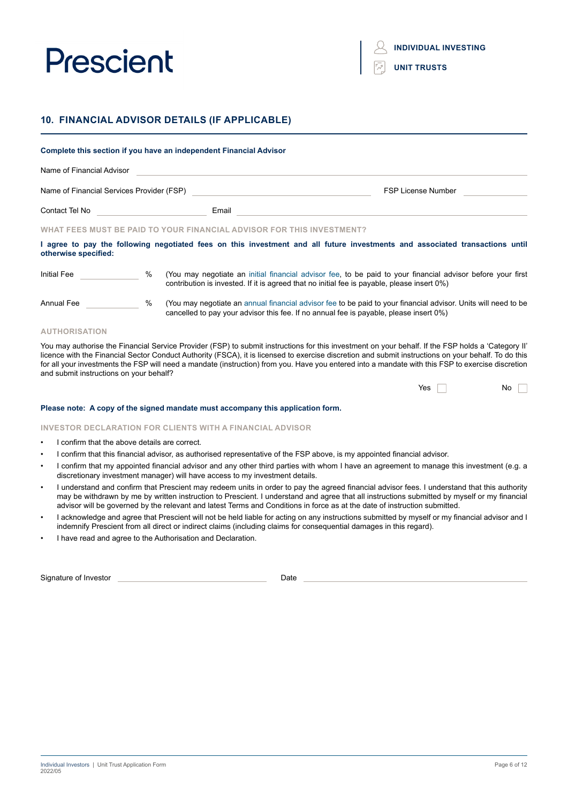|  |  | <b>UNIT TRUSTS</b> |
|--|--|--------------------|
|  |  |                    |

## **10. FINANCIAL ADVISOR DETAILS (IF APPLICABLE)**

| Complete this section if you have an independent Financial Advisor |               |                                                                                     |                                                                                                                                                                                                              |
|--------------------------------------------------------------------|---------------|-------------------------------------------------------------------------------------|--------------------------------------------------------------------------------------------------------------------------------------------------------------------------------------------------------------|
| Name of Financial Advisor                                          |               |                                                                                     |                                                                                                                                                                                                              |
|                                                                    |               | Name of Financial Services Provider (FSP) Name of Financial Services Provider (FSP) | <b>FSP License Number</b>                                                                                                                                                                                    |
| Contact Tel No <b>Contact Tel No</b>                               |               | Email                                                                               |                                                                                                                                                                                                              |
|                                                                    |               | WHAT FEES MUST BE PAID TO YOUR FINANCIAL ADVISOR FOR THIS INVESTMENT?               |                                                                                                                                                                                                              |
| otherwise specified:                                               |               |                                                                                     | I agree to pay the following negotiated fees on this investment and all future investments and associated transactions until                                                                                 |
| <b>Initial Fee</b>                                                 | $\frac{9}{6}$ |                                                                                     | (You may negotiate an initial financial advisor fee, to be paid to your financial advisor before your first<br>contribution is invested. If it is agreed that no initial fee is payable, please insert 0%)   |
| <b>Annual Fee</b>                                                  | %             |                                                                                     | (You may negotiate an annual financial advisor fee to be paid to your financial advisor. Units will need to be<br>cancelled to pay your advisor this fee. If no annual fee is payable, please insert $0\%$ ) |

#### **AUTHORISATION**

You may authorise the Financial Service Provider (FSP) to submit instructions for this investment on your behalf. If the FSP holds a 'Category II' licence with the Financial Sector Conduct Authority (FSCA), it is licensed to exercise discretion and submit instructions on your behalf. To do this for all your investments the FSP will need a mandate (instruction) from you. Have you entered into a mandate with this FSP to exercise discretion and submit instructions on your behalf?

#### **Please note: A copy of the signed mandate must accompany this application form.**

#### **INVESTOR DECLARATION FOR CLIENTS WITH A FINANCIAL ADVISOR**

- I confirm that the above details are correct.
- I confirm that this financial advisor, as authorised representative of the FSP above, is my appointed financial advisor.
- I confirm that my appointed financial advisor and any other third parties with whom I have an agreement to manage this investment (e.g. a discretionary investment manager) will have access to my investment details.
- I understand and confirm that Prescient may redeem units in order to pay the agreed financial advisor fees. I understand that this authority may be withdrawn by me by written instruction to Prescient. I understand and agree that all instructions submitted by myself or my financial advisor will be governed by the relevant and latest Terms and Conditions in force as at the date of instruction submitted.
- I acknowledge and agree that Prescient will not be held liable for acting on any instructions submitted by myself or my financial advisor and I indemnify Prescient from all direct or indirect claims (including claims for consequential damages in this regard).
- I have read and agree to the Authorisation and Declaration.

Signature of Investor Date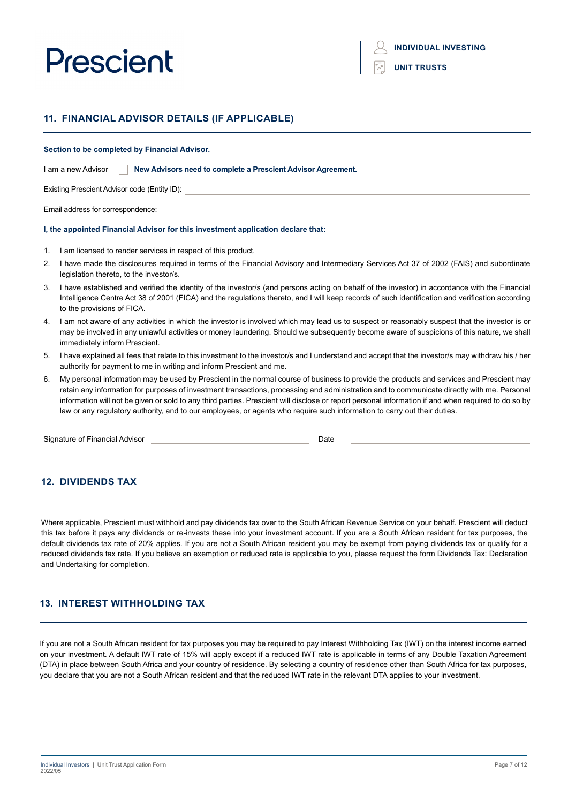| <b>UNIT TRUSTS</b> |  |  |
|--------------------|--|--|
|                    |  |  |

## **11. FINANCIAL ADVISOR DETAILS (IF APPLICABLE)**

#### **Section to be completed by Financial Advisor.**

| I am a new Advisor | New Advisors need to complete a Prescient Advisor Agreement. |  |
|--------------------|--------------------------------------------------------------|--|
|--------------------|--------------------------------------------------------------|--|

Existing Prescient Advisor code (Entity ID):

Email address for correspondence:

#### **I, the appointed Financial Advisor for this investment application declare that:**

- 1. I am licensed to render services in respect of this product.
- 2. I have made the disclosures required in terms of the Financial Advisory and Intermediary Services Act 37 of 2002 (FAIS) and subordinate legislation thereto, to the investor/s.
- 3. I have established and verified the identity of the investor/s (and persons acting on behalf of the investor) in accordance with the Financial Intelligence Centre Act 38 of 2001 (FICA) and the regulations thereto, and I will keep records of such identification and verification according to the provisions of FICA.
- 4. I am not aware of any activities in which the investor is involved which may lead us to suspect or reasonably suspect that the investor is or may be involved in any unlawful activities or money laundering. Should we subsequently become aware of suspicions of this nature, we shall immediately inform Prescient.
- 5. I have explained all fees that relate to this investment to the investor/s and I understand and accept that the investor/s may withdraw his / her authority for payment to me in writing and inform Prescient and me.
- 6. My personal information may be used by Prescient in the normal course of business to provide the products and services and Prescient may retain any information for purposes of investment transactions, processing and administration and to communicate directly with me. Personal information will not be given or sold to any third parties. Prescient will disclose or report personal information if and when required to do so by law or any regulatory authority, and to our employees, or agents who require such information to carry out their duties.

Signature of Financial Advisor **Date Date** Date **Date Date** 

### **12. DIVIDENDS TAX**

Where applicable, Prescient must withhold and pay dividends tax over to the South African Revenue Service on your behalf. Prescient will deduct this tax before it pays any dividends or re-invests these into your investment account. If you are a South African resident for tax purposes, the default dividends tax rate of 20% applies. If you are not a South African resident you may be exempt from paying dividends tax or qualify for a reduced dividends tax rate. If you believe an exemption or reduced rate is applicable to you, please request the form Dividends Tax: Declaration and Undertaking for completion.

### **13. INTEREST WITHHOLDING TAX**

If you are not a South African resident for tax purposes you may be required to pay Interest Withholding Tax (IWT) on the interest income earned on your investment. A default IWT rate of 15% will apply except if a reduced IWT rate is applicable in terms of any Double Taxation Agreement (DTA) in place between South Africa and your country of residence. By selecting a country of residence other than South Africa for tax purposes, you declare that you are not a South African resident and that the reduced IWT rate in the relevant DTA applies to your investment.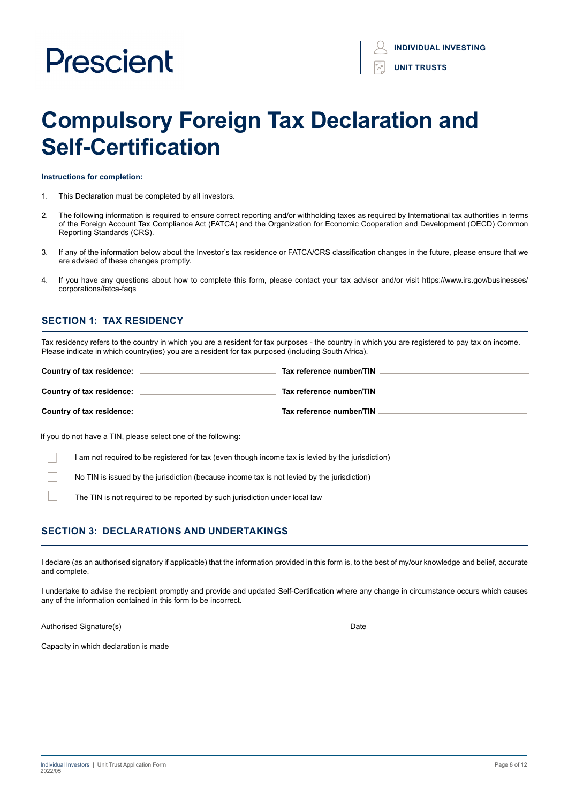# **Compulsory Foreign Tax Declaration and Self-Certification**

**Instructions for completion:**

- 1. This Declaration must be completed by all investors.
- 2. The following information is required to ensure correct reporting and/or withholding taxes as required by International tax authorities in terms of the Foreign Account Tax Compliance Act (FATCA) and the Organization for Economic Cooperation and Development (OECD) Common Reporting Standards (CRS).
- 3. If any of the information below about the Investor's tax residence or FATCA/CRS classification changes in the future, please ensure that we are advised of these changes promptly.
- 4. If you have any questions about how to complete this form, please contact your tax advisor and/or visit https://www.irs.gov/businesses/ corporations/fatca-faqs

### **SECTION 1: TAX RESIDENCY**

Tax residency refers to the country in which you are a resident for tax purposes - the country in which you are registered to pay tax on income. Please indicate in which country(ies) you are a resident for tax purposed (including South Africa).

| Country of tax residence: | Tax reference number/TIN |
|---------------------------|--------------------------|
| Country of tax residence: | Tax reference number/TIN |
| Country of tax residence: | Tax reference number/TIN |

If you do not have a TIN, please select one of the following:

I am not required to be registered for tax (even though income tax is levied by the jurisdiction)

No TIN is issued by the jurisdiction (because income tax is not levied by the jurisdiction)

The TIN is not required to be reported by such jurisdiction under local law

### **SECTION 3: DECLARATIONS AND UNDERTAKINGS**

I declare (as an authorised signatory if applicable) that the information provided in this form is, to the best of my/our knowledge and belief, accurate and complete.

I undertake to advise the recipient promptly and provide and updated Self-Certification where any change in circumstance occurs which causes any of the information contained in this form to be incorrect.

Authorised Signature(s) and the state of the state of the state of the state of the Date of the Date of the State of the Date of the State of the Date of the State of the Date of the State of the State of the State of the

Capacity in which declaration is made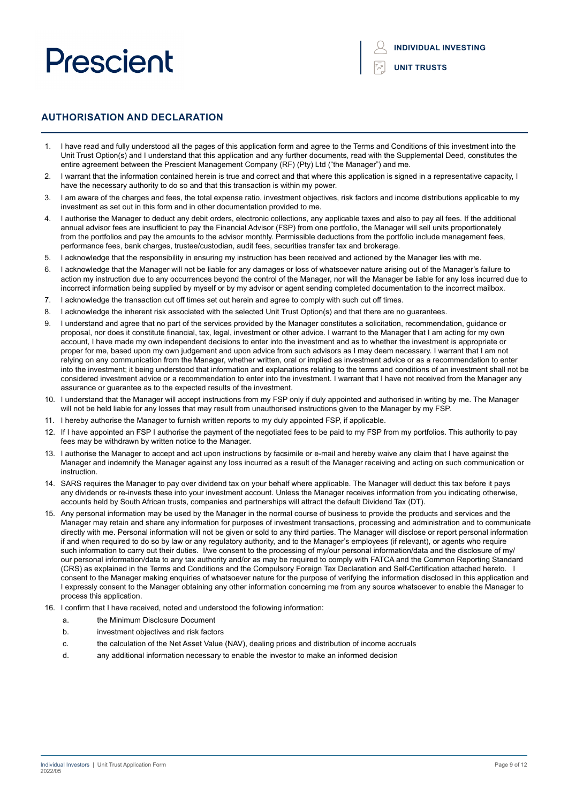**INDIVIDUAL INVESTING**

**UNIT TRUSTS**

### **AUTHORISATION AND DECLARATION**

- 1. I have read and fully understood all the pages of this application form and agree to the Terms and Conditions of this investment into the Unit Trust Option(s) and I understand that this application and any further documents, read with the Supplemental Deed, constitutes the entire agreement between the Prescient Management Company (RF) (Pty) Ltd ("the Manager") and me.
- I warrant that the information contained herein is true and correct and that where this application is signed in a representative capacity, I have the necessary authority to do so and that this transaction is within my power.
- 1 am aware of the charges and fees, the total expense ratio, investment objectives, risk factors and income distributions applicable to my investment as set out in this form and in other documentation provided to me.
- 4. I authorise the Manager to deduct any debit orders, electronic collections, any applicable taxes and also to pay all fees. If the additional annual advisor fees are insufficient to pay the Financial Advisor (FSP) from one portfolio, the Manager will sell units proportionately from the portfolios and pay the amounts to the advisor monthly. Permissible deductions from the portfolio include management fees, performance fees, bank charges, trustee/custodian, audit fees, securities transfer tax and brokerage.
- 5. I acknowledge that the responsibility in ensuring my instruction has been received and actioned by the Manager lies with me.
- 6. I acknowledge that the Manager will not be liable for any damages or loss of whatsoever nature arising out of the Manager's failure to action my instruction due to any occurrences beyond the control of the Manager, nor will the Manager be liable for any loss incurred due to incorrect information being supplied by myself or by my advisor or agent sending completed documentation to the incorrect mailbox.
- 7. I acknowledge the transaction cut off times set out herein and agree to comply with such cut off times.
- 8. I acknowledge the inherent risk associated with the selected Unit Trust Option(s) and that there are no guarantees.
- 9. I understand and agree that no part of the services provided by the Manager constitutes a solicitation, recommendation, guidance or proposal, nor does it constitute financial, tax, legal, investment or other advice. I warrant to the Manager that I am acting for my own account, I have made my own independent decisions to enter into the investment and as to whether the investment is appropriate or proper for me, based upon my own judgement and upon advice from such advisors as I may deem necessary. I warrant that I am not relying on any communication from the Manager, whether written, oral or implied as investment advice or as a recommendation to enter into the investment; it being understood that information and explanations relating to the terms and conditions of an investment shall not be considered investment advice or a recommendation to enter into the investment. I warrant that I have not received from the Manager any assurance or guarantee as to the expected results of the investment.
- 10. I understand that the Manager will accept instructions from my FSP only if duly appointed and authorised in writing by me. The Manager will not be held liable for any losses that may result from unauthorised instructions given to the Manager by my FSP.
- 11. I hereby authorise the Manager to furnish written reports to my duly appointed FSP, if applicable.
- 12. If I have appointed an FSP I authorise the payment of the negotiated fees to be paid to my FSP from my portfolios. This authority to pay fees may be withdrawn by written notice to the Manager.
- 13. I authorise the Manager to accept and act upon instructions by facsimile or e-mail and hereby waive any claim that I have against the Manager and indemnify the Manager against any loss incurred as a result of the Manager receiving and acting on such communication or instruction.
- 14. SARS requires the Manager to pay over dividend tax on your behalf where applicable. The Manager will deduct this tax before it pays any dividends or re-invests these into your investment account. Unless the Manager receives information from you indicating otherwise, accounts held by South African trusts, companies and partnerships will attract the default Dividend Tax (DT).
- 15. Any personal information may be used by the Manager in the normal course of business to provide the products and services and the Manager may retain and share any information for purposes of investment transactions, processing and administration and to communicate directly with me. Personal information will not be given or sold to any third parties. The Manager will disclose or report personal information if and when required to do so by law or any regulatory authority, and to the Manager's employees (if relevant), or agents who require such information to carry out their duties. I/we consent to the processing of my/our personal information/data and the disclosure of my/ our personal information/data to any tax authority and/or as may be required to comply with FATCA and the Common Reporting Standard (CRS) as explained in the Terms and Conditions and the Compulsory Foreign Tax Declaration and Self-Certification attached hereto. I consent to the Manager making enquiries of whatsoever nature for the purpose of verifying the information disclosed in this application and I expressly consent to the Manager obtaining any other information concerning me from any source whatsoever to enable the Manager to process this application.
- 16. I confirm that I have received, noted and understood the following information:
	- a. the Minimum Disclosure Document
	- b. investment objectives and risk factors
	- c. the calculation of the Net Asset Value (NAV), dealing prices and distribution of income accruals
	- d. any additional information necessary to enable the investor to make an informed decision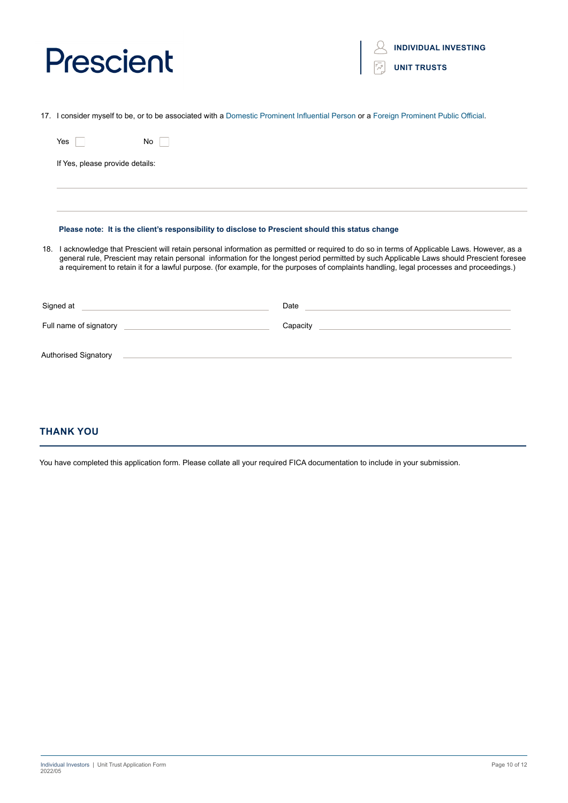**INDIVIDUAL INVESTING**

|  | <b>UNIT TRUSTS</b> |
|--|--------------------|
|  |                    |

17. I consider myself to be, or to be associated with a Domestic Prominent Influential Person or a Foreign Prominent Public Official.

| No.<br>Yes                                                                                                                                                                                                                           |                                                                                                                                                                                                                                                                                                                                                                                                                                          |
|--------------------------------------------------------------------------------------------------------------------------------------------------------------------------------------------------------------------------------------|------------------------------------------------------------------------------------------------------------------------------------------------------------------------------------------------------------------------------------------------------------------------------------------------------------------------------------------------------------------------------------------------------------------------------------------|
| If Yes, please provide details:                                                                                                                                                                                                      |                                                                                                                                                                                                                                                                                                                                                                                                                                          |
|                                                                                                                                                                                                                                      |                                                                                                                                                                                                                                                                                                                                                                                                                                          |
| Please note: It is the client's responsibility to disclose to Prescient should this status change                                                                                                                                    |                                                                                                                                                                                                                                                                                                                                                                                                                                          |
|                                                                                                                                                                                                                                      | 18. I acknowledge that Prescient will retain personal information as permitted or required to do so in terms of Applicable Laws. However, as a<br>general rule, Prescient may retain personal information for the longest period permitted by such Applicable Laws should Prescient foresee<br>a requirement to retain it for a lawful purpose. (for example, for the purposes of complaints handling, legal processes and proceedings.) |
| Signed at <u>example and a series of the series of the series of the series of the series of the series of the series of the series of the series of the series of the series of the series of the series of the series of the s</u> | Date experience and a series of the series of the series of the series of the series of the series of the series of the series of the series of the series of the series of the series of the series of the series of the seri                                                                                                                                                                                                           |
|                                                                                                                                                                                                                                      |                                                                                                                                                                                                                                                                                                                                                                                                                                          |
| Authorised Signatory<br>the contract of the contract of the contract of the contract of the contract of the contract of the contract of                                                                                              |                                                                                                                                                                                                                                                                                                                                                                                                                                          |

### **THANK YOU**

You have completed this application form. Please collate all your required FICA documentation to include in your submission.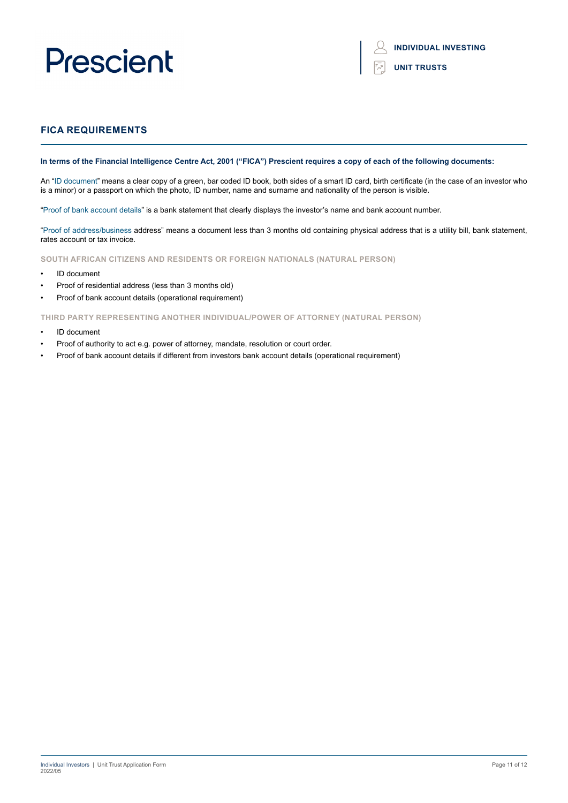### **FICA REQUIREMENTS**

#### **In terms of the Financial Intelligence Centre Act, 2001 ("FICA") Prescient requires a copy of each of the following documents:**

An "ID document" means a clear copy of a green, bar coded ID book, both sides of a smart ID card, birth certificate (in the case of an investor who is a minor) or a passport on which the photo, ID number, name and surname and nationality of the person is visible.

"Proof of bank account details" is a bank statement that clearly displays the investor's name and bank account number.

"Proof of address/business address" means a document less than 3 months old containing physical address that is a utility bill, bank statement, rates account or tax invoice.

**SOUTH AFRICAN CITIZENS AND RESIDENTS OR FOREIGN NATIONALS (NATURAL PERSON)**

- ID document
- Proof of residential address (less than 3 months old)
- Proof of bank account details (operational requirement)

**THIRD PARTY REPRESENTING ANOTHER INDIVIDUAL/POWER OF ATTORNEY (NATURAL PERSON)**

- ID document
- Proof of authority to act e.g. power of attorney, mandate, resolution or court order.
- Proof of bank account details if different from investors bank account details (operational requirement)